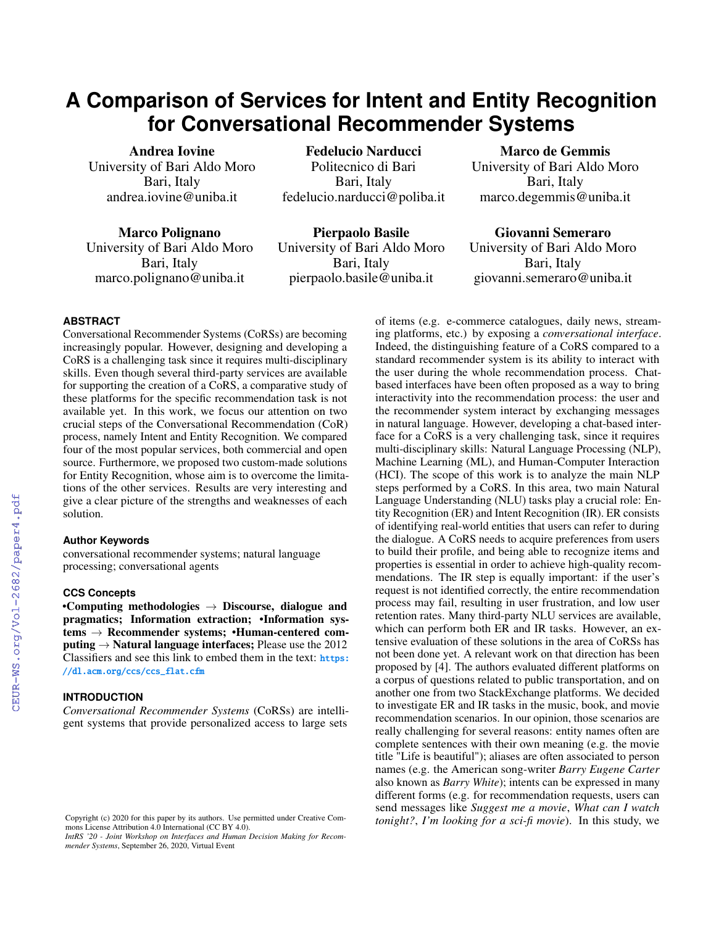# **A Comparison of Services for Intent and Entity Recognition for Conversational Recommender Systems**

Andrea Iovine University of Bari Aldo Moro Bari, Italy andrea.iovine@uniba.it

Marco Polignano University of Bari Aldo Moro Bari, Italy marco.polignano@uniba.it

Politecnico di Bari Bari, Italy fedelucio.narducci@poliba.it Pierpaolo Basile

Fedelucio Narducci

University of Bari Aldo Moro Bari, Italy pierpaolo.basile@uniba.it

Marco de Gemmis University of Bari Aldo Moro Bari, Italy marco.degemmis@uniba.it

Giovanni Semeraro University of Bari Aldo Moro

Bari, Italy giovanni.semeraro@uniba.it

## **ABSTRACT**

Conversational Recommender Systems (CoRSs) are becoming increasingly popular. However, designing and developing a CoRS is a challenging task since it requires multi-disciplinary skills. Even though several third-party services are available for supporting the creation of a CoRS, a comparative study of these platforms for the specific recommendation task is not available yet. In this work, we focus our attention on two crucial steps of the Conversational Recommendation (CoR) process, namely Intent and Entity Recognition. We compared four of the most popular services, both commercial and open source. Furthermore, we proposed two custom-made solutions for Entity Recognition, whose aim is to overcome the limitations of the other services. Results are very interesting and give a clear picture of the strengths and weaknesses of each solution.

#### **Author Keywords**

conversational recommender systems; natural language processing; conversational agents

#### **CCS Concepts**

•Computing methodologies  $\rightarrow$  Discourse, dialogue and pragmatics; Information extraction; •Information systems → Recommender systems; •Human-centered computing  $\rightarrow$  Natural language interfaces: Please use the 2012 Classifiers and see this link to embed them in the text: [https:](https://dl.acm.org/ccs/ccs_flat.cfm) [//dl.acm.org/ccs/ccs\\_flat.cfm](https://dl.acm.org/ccs/ccs_flat.cfm)

## **INTRODUCTION**

*Conversational Recommender Systems* (CoRSs) are intelligent systems that provide personalized access to large sets

*IntRS '20 - Joint Workshop on Interfaces and Human Decision Making for Recommender Systems*, September 26, 2020, Virtual Event

of items (e.g. e-commerce catalogues, daily news, streaming platforms, etc.) by exposing a *conversational interface*. Indeed, the distinguishing feature of a CoRS compared to a standard recommender system is its ability to interact with the user during the whole recommendation process. Chatbased interfaces have been often proposed as a way to bring interactivity into the recommendation process: the user and the recommender system interact by exchanging messages in natural language. However, developing a chat-based interface for a CoRS is a very challenging task, since it requires multi-disciplinary skills: Natural Language Processing (NLP), Machine Learning (ML), and Human-Computer Interaction (HCI). The scope of this work is to analyze the main NLP steps performed by a CoRS. In this area, two main Natural Language Understanding (NLU) tasks play a crucial role: Entity Recognition (ER) and Intent Recognition (IR). ER consists of identifying real-world entities that users can refer to during the dialogue. A CoRS needs to acquire preferences from users to build their profile, and being able to recognize items and properties is essential in order to achieve high-quality recommendations. The IR step is equally important: if the user's request is not identified correctly, the entire recommendation process may fail, resulting in user frustration, and low user retention rates. Many third-party NLU services are available, which can perform both ER and IR tasks. However, an extensive evaluation of these solutions in the area of CoRSs has not been done yet. A relevant work on that direction has been proposed by [\[4\]](#page--1-0). The authors evaluated different platforms on a corpus of questions related to public transportation, and on another one from two StackExchange platforms. We decided to investigate ER and IR tasks in the music, book, and movie recommendation scenarios. In our opinion, those scenarios are really challenging for several reasons: entity names often are complete sentences with their own meaning (e.g. the movie title "Life is beautiful"); aliases are often associated to person names (e.g. the American song-writer *Barry Eugene Carter* also known as *Barry White*); intents can be expressed in many different forms (e.g. for recommendation requests, users can send messages like *Suggest me a movie*, *What can I watch tonight?*, *I'm looking for a sci-fi movie*). In this study, we

Copyright (c) 2020 for this paper by its authors. Use permitted under Creative Commons License Attribution 4.0 International (CC BY 4.0).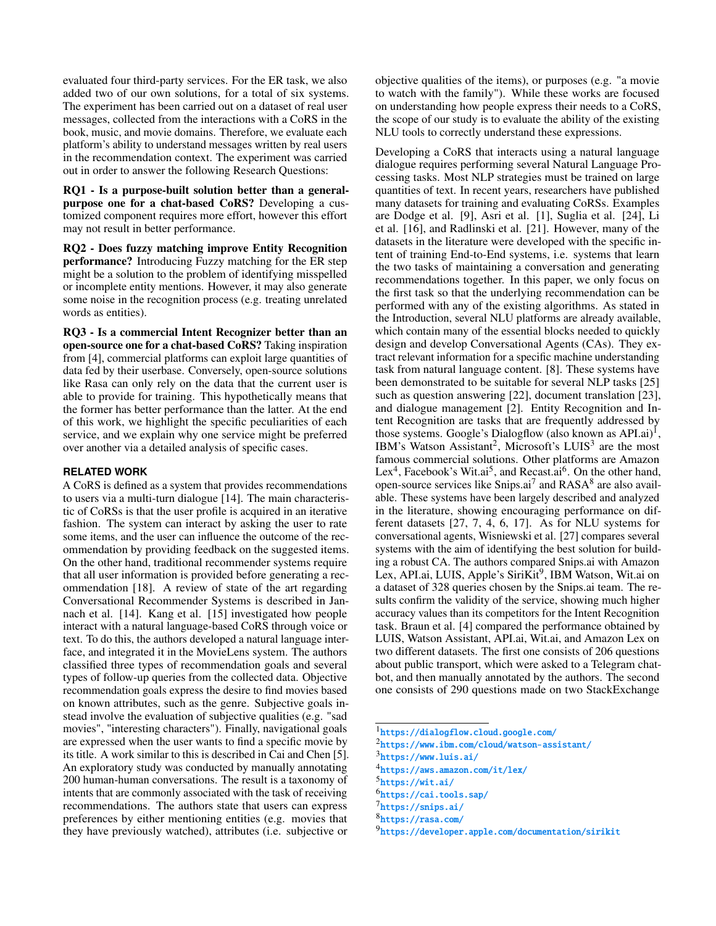evaluated four third-party services. For the ER task, we also added two of our own solutions, for a total of six systems. The experiment has been carried out on a dataset of real user messages, collected from the interactions with a CoRS in the book, music, and movie domains. Therefore, we evaluate each platform's ability to understand messages written by real users in the recommendation context. The experiment was carried out in order to answer the following Research Questions:

RQ1 - Is a purpose-built solution better than a generalpurpose one for a chat-based CoRS? Developing a customized component requires more effort, however this effort may not result in better performance.

RQ2 - Does fuzzy matching improve Entity Recognition performance? Introducing Fuzzy matching for the ER step might be a solution to the problem of identifying misspelled or incomplete entity mentions. However, it may also generate some noise in the recognition process (e.g. treating unrelated words as entities).

RQ3 - Is a commercial Intent Recognizer better than an open-source one for a chat-based CoRS? Taking inspiration from [\[4\]](#page-9-0), commercial platforms can exploit large quantities of data fed by their userbase. Conversely, open-source solutions like Rasa can only rely on the data that the current user is able to provide for training. This hypothetically means that the former has better performance than the latter. At the end of this work, we highlight the specific peculiarities of each service, and we explain why one service might be preferred over another via a detailed analysis of specific cases.

## **RELATED WORK**

A CoRS is defined as a system that provides recommendations to users via a multi-turn dialogue [\[14\]](#page-10-0). The main characteristic of CoRSs is that the user profile is acquired in an iterative fashion. The system can interact by asking the user to rate some items, and the user can influence the outcome of the recommendation by providing feedback on the suggested items. On the other hand, traditional recommender systems require that all user information is provided before generating a recommendation [\[18\]](#page-10-1). A review of state of the art regarding Conversational Recommender Systems is described in Jannach et al. [\[14\]](#page-10-0). Kang et al. [\[15\]](#page-10-2) investigated how people interact with a natural language-based CoRS through voice or text. To do this, the authors developed a natural language interface, and integrated it in the MovieLens system. The authors classified three types of recommendation goals and several types of follow-up queries from the collected data. Objective recommendation goals express the desire to find movies based on known attributes, such as the genre. Subjective goals instead involve the evaluation of subjective qualities (e.g. "sad movies", "interesting characters"). Finally, navigational goals are expressed when the user wants to find a specific movie by its title. A work similar to this is described in Cai and Chen [\[5\]](#page-9-1). An exploratory study was conducted by manually annotating 200 human-human conversations. The result is a taxonomy of intents that are commonly associated with the task of receiving recommendations. The authors state that users can express preferences by either mentioning entities (e.g. movies that they have previously watched), attributes (i.e. subjective or

objective qualities of the items), or purposes (e.g. "a movie to watch with the family"). While these works are focused on understanding how people express their needs to a CoRS, the scope of our study is to evaluate the ability of the existing NLU tools to correctly understand these expressions.

Developing a CoRS that interacts using a natural language dialogue requires performing several Natural Language Processing tasks. Most NLP strategies must be trained on large quantities of text. In recent years, researchers have published many datasets for training and evaluating CoRSs. Examples are Dodge et al. [\[9\]](#page-9-2), Asri et al. [\[1\]](#page-9-3), Suglia et al. [\[24\]](#page-10-3), Li et al. [\[16\]](#page-10-4), and Radlinski et al. [\[21\]](#page-10-5). However, many of the datasets in the literature were developed with the specific intent of training End-to-End systems, i.e. systems that learn the two tasks of maintaining a conversation and generating recommendations together. In this paper, we only focus on the first task so that the underlying recommendation can be performed with any of the existing algorithms. As stated in the Introduction, several NLU platforms are already available, which contain many of the essential blocks needed to quickly design and develop Conversational Agents (CAs). They extract relevant information for a specific machine understanding task from natural language content. [\[8\]](#page-9-4). These systems have been demonstrated to be suitable for several NLP tasks [\[25\]](#page-10-6) such as question answering [\[22\]](#page-10-7), document translation [\[23\]](#page-10-8), and dialogue management [\[2\]](#page-9-5). Entity Recognition and Intent Recognition are tasks that are frequently addressed by those systems. Google's Dialogflow (also known as  $API.ai$ )<sup>[1](#page-1-0)</sup>, IBM's Watson Assistant<sup>[2](#page-1-1)</sup>, Microsoft's LUIS<sup>[3](#page-1-2)</sup> are the most famous commercial solutions. Other platforms are Amazon Lex<sup>[4](#page-1-3)</sup>, Facebook's Wit.ai<sup>[5](#page-1-4)</sup>, and Recast.ai<sup>[6](#page-1-5)</sup>. On the other hand, open-source services like Snips.ai<sup>[7](#page-1-6)</sup> and RASA<sup>[8](#page-1-7)</sup> are also available. These systems have been largely described and analyzed in the literature, showing encouraging performance on different datasets [\[27,](#page-10-9) [7,](#page-9-6) [4,](#page-9-0) [6,](#page-9-7) [17\]](#page-10-10). As for NLU systems for conversational agents, Wisniewski et al. [\[27\]](#page-10-9) compares several systems with the aim of identifying the best solution for building a robust CA. The authors compared Snips.ai with Amazon Lex, API.ai, LUIS, Apple's SiriKit<sup>[9](#page-1-8)</sup>, IBM Watson, Wit.ai on a dataset of 328 queries chosen by the Snips.ai team. The results confirm the validity of the service, showing much higher accuracy values than its competitors for the Intent Recognition task. Braun et al. [\[4\]](#page-9-0) compared the performance obtained by LUIS, Watson Assistant, API.ai, Wit.ai, and Amazon Lex on two different datasets. The first one consists of 206 questions about public transport, which were asked to a Telegram chatbot, and then manually annotated by the authors. The second one consists of 290 questions made on two StackExchange

- <span id="page-1-0"></span>1 <https://dialogflow.cloud.google.com/>
- <span id="page-1-1"></span> $^2$ <https://www.ibm.com/cloud/watson-assistant/>

<span id="page-1-2"></span> $^3$ <https://www.luis.ai/>

<span id="page-1-3"></span><sup>4</sup> <https://aws.amazon.com/it/lex/>

<span id="page-1-4"></span><sup>5</sup> <https://wit.ai/>

<span id="page-1-5"></span><sup>6</sup> <https://cai.tools.sap/>

<span id="page-1-6"></span><sup>&</sup>lt;sup>7</sup><https://snips.ai/>

<span id="page-1-7"></span><sup>8</sup> <https://rasa.com/>

<span id="page-1-8"></span><sup>&</sup>lt;sup>9</sup><https://developer.apple.com/documentation/sirikit>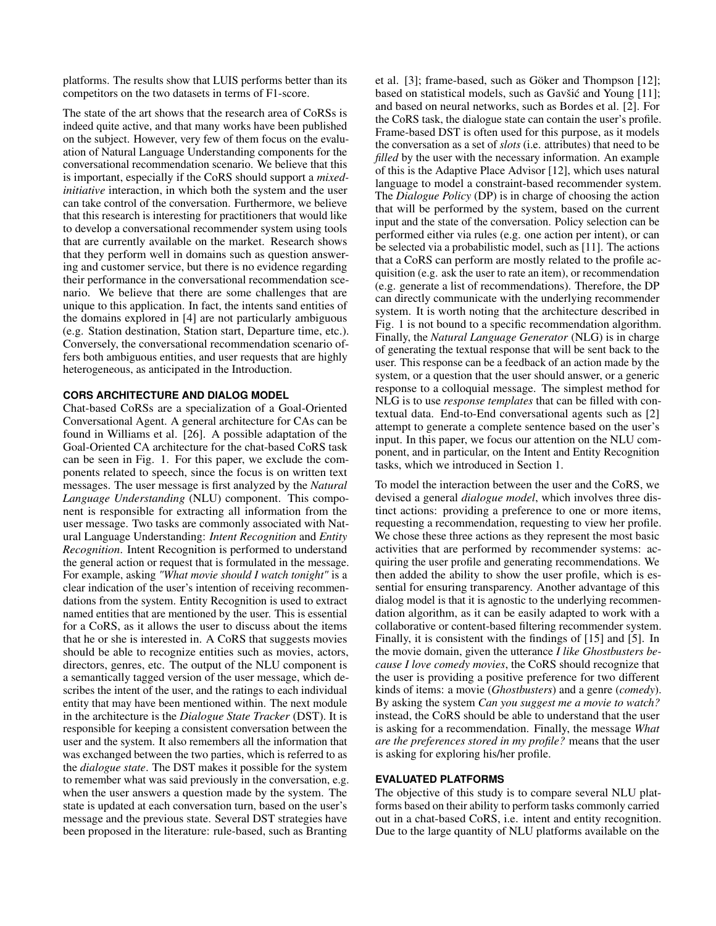platforms. The results show that LUIS performs better than its competitors on the two datasets in terms of F1-score.

The state of the art shows that the research area of CoRSs is indeed quite active, and that many works have been published on the subject. However, very few of them focus on the evaluation of Natural Language Understanding components for the conversational recommendation scenario. We believe that this is important, especially if the CoRS should support a *mixedinitiative* interaction, in which both the system and the user can take control of the conversation. Furthermore, we believe that this research is interesting for practitioners that would like to develop a conversational recommender system using tools that are currently available on the market. Research shows that they perform well in domains such as question answering and customer service, but there is no evidence regarding their performance in the conversational recommendation scenario. We believe that there are some challenges that are unique to this application. In fact, the intents sand entities of the domains explored in [\[4\]](#page-9-0) are not particularly ambiguous (e.g. Station destination, Station start, Departure time, etc.). Conversely, the conversational recommendation scenario offers both ambiguous entities, and user requests that are highly heterogeneous, as anticipated in the Introduction.

### <span id="page-2-0"></span>**CORS ARCHITECTURE AND DIALOG MODEL**

Chat-based CoRSs are a specialization of a Goal-Oriented Conversational Agent. A general architecture for CAs can be found in Williams et al. [\[26\]](#page-10-11). A possible adaptation of the Goal-Oriented CA architecture for the chat-based CoRS task can be seen in Fig. [1.](#page-3-0) For this paper, we exclude the components related to speech, since the focus is on written text messages. The user message is first analyzed by the *Natural Language Understanding* (NLU) component. This component is responsible for extracting all information from the user message. Two tasks are commonly associated with Natural Language Understanding: *Intent Recognition* and *Entity Recognition*. Intent Recognition is performed to understand the general action or request that is formulated in the message. For example, asking *"What movie should I watch tonight"* is a clear indication of the user's intention of receiving recommendations from the system. Entity Recognition is used to extract named entities that are mentioned by the user. This is essential for a CoRS, as it allows the user to discuss about the items that he or she is interested in. A CoRS that suggests movies should be able to recognize entities such as movies, actors, directors, genres, etc. The output of the NLU component is a semantically tagged version of the user message, which describes the intent of the user, and the ratings to each individual entity that may have been mentioned within. The next module in the architecture is the *Dialogue State Tracker* (DST). It is responsible for keeping a consistent conversation between the user and the system. It also remembers all the information that was exchanged between the two parties, which is referred to as the *dialogue state*. The DST makes it possible for the system to remember what was said previously in the conversation, e.g. when the user answers a question made by the system. The state is updated at each conversation turn, based on the user's message and the previous state. Several DST strategies have been proposed in the literature: rule-based, such as Branting

et al. [\[3\]](#page-9-8); frame-based, such as Göker and Thompson [\[12\]](#page-10-12); based on statistical models, such as Gavšić and Young  $[11]$  $[11]$ ; and based on neural networks, such as Bordes et al. [\[2\]](#page-9-5). For the CoRS task, the dialogue state can contain the user's profile. Frame-based DST is often used for this purpose, as it models the conversation as a set of *slots* (i.e. attributes) that need to be *filled* by the user with the necessary information. An example of this is the Adaptive Place Advisor [\[12\]](#page-10-12), which uses natural language to model a constraint-based recommender system. The *Dialogue Policy* (DP) is in charge of choosing the action that will be performed by the system, based on the current input and the state of the conversation. Policy selection can be performed either via rules (e.g. one action per intent), or can be selected via a probabilistic model, such as [\[11\]](#page-10-13). The actions that a CoRS can perform are mostly related to the profile acquisition (e.g. ask the user to rate an item), or recommendation (e.g. generate a list of recommendations). Therefore, the DP can directly communicate with the underlying recommender system. It is worth noting that the architecture described in Fig. [1](#page-3-0) is not bound to a specific recommendation algorithm. Finally, the *Natural Language Generator* (NLG) is in charge of generating the textual response that will be sent back to the user. This response can be a feedback of an action made by the system, or a question that the user should answer, or a generic response to a colloquial message. The simplest method for NLG is to use *response templates* that can be filled with contextual data. End-to-End conversational agents such as [\[2\]](#page-9-5) attempt to generate a complete sentence based on the user's input. In this paper, we focus our attention on the NLU component, and in particular, on the Intent and Entity Recognition tasks, which we introduced in Section [1.](#page--1-1)

To model the interaction between the user and the CoRS, we devised a general *dialogue model*, which involves three distinct actions: providing a preference to one or more items, requesting a recommendation, requesting to view her profile. We chose these three actions as they represent the most basic activities that are performed by recommender systems: acquiring the user profile and generating recommendations. We then added the ability to show the user profile, which is essential for ensuring transparency. Another advantage of this dialog model is that it is agnostic to the underlying recommendation algorithm, as it can be easily adapted to work with a collaborative or content-based filtering recommender system. Finally, it is consistent with the findings of [\[15\]](#page-10-2) and [\[5\]](#page-9-1). In the movie domain, given the utterance *I like Ghostbusters because I love comedy movies*, the CoRS should recognize that the user is providing a positive preference for two different kinds of items: a movie (*Ghostbusters*) and a genre (*comedy*). By asking the system *Can you suggest me a movie to watch?* instead, the CoRS should be able to understand that the user is asking for a recommendation. Finally, the message *What are the preferences stored in my profile?* means that the user is asking for exploring his/her profile.

## <span id="page-2-1"></span>**EVALUATED PLATFORMS**

The objective of this study is to compare several NLU platforms based on their ability to perform tasks commonly carried out in a chat-based CoRS, i.e. intent and entity recognition. Due to the large quantity of NLU platforms available on the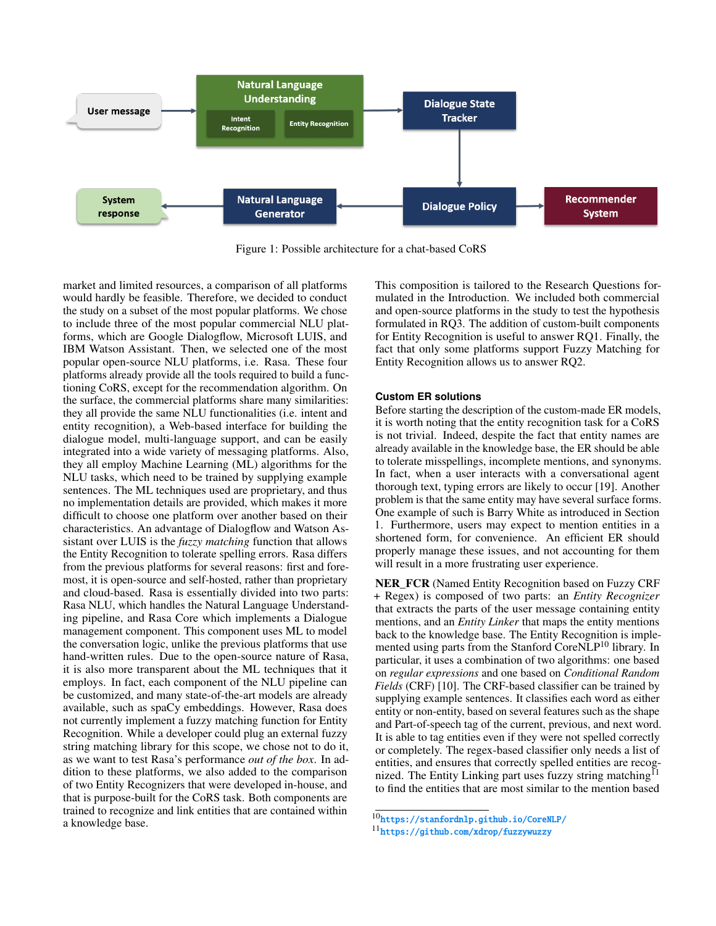<span id="page-3-0"></span>

Figure 1: Possible architecture for a chat-based CoRS

market and limited resources, a comparison of all platforms would hardly be feasible. Therefore, we decided to conduct the study on a subset of the most popular platforms. We chose to include three of the most popular commercial NLU platforms, which are Google Dialogflow, Microsoft LUIS, and IBM Watson Assistant. Then, we selected one of the most popular open-source NLU platforms, i.e. Rasa. These four platforms already provide all the tools required to build a functioning CoRS, except for the recommendation algorithm. On the surface, the commercial platforms share many similarities: they all provide the same NLU functionalities (i.e. intent and entity recognition), a Web-based interface for building the dialogue model, multi-language support, and can be easily integrated into a wide variety of messaging platforms. Also, they all employ Machine Learning (ML) algorithms for the NLU tasks, which need to be trained by supplying example sentences. The ML techniques used are proprietary, and thus no implementation details are provided, which makes it more difficult to choose one platform over another based on their characteristics. An advantage of Dialogflow and Watson Assistant over LUIS is the *fuzzy matching* function that allows the Entity Recognition to tolerate spelling errors. Rasa differs from the previous platforms for several reasons: first and foremost, it is open-source and self-hosted, rather than proprietary and cloud-based. Rasa is essentially divided into two parts: Rasa NLU, which handles the Natural Language Understanding pipeline, and Rasa Core which implements a Dialogue management component. This component uses ML to model the conversation logic, unlike the previous platforms that use hand-written rules. Due to the open-source nature of Rasa, it is also more transparent about the ML techniques that it employs. In fact, each component of the NLU pipeline can be customized, and many state-of-the-art models are already available, such as spaCy embeddings. However, Rasa does not currently implement a fuzzy matching function for Entity Recognition. While a developer could plug an external fuzzy string matching library for this scope, we chose not to do it, as we want to test Rasa's performance *out of the box*. In addition to these platforms, we also added to the comparison of two Entity Recognizers that were developed in-house, and that is purpose-built for the CoRS task. Both components are trained to recognize and link entities that are contained within a knowledge base.

This composition is tailored to the Research Questions formulated in the Introduction. We included both commercial and open-source platforms in the study to test the hypothesis formulated in RQ3. The addition of custom-built components for Entity Recognition is useful to answer RQ1. Finally, the fact that only some platforms support Fuzzy Matching for Entity Recognition allows us to answer RQ2.

#### <span id="page-3-3"></span>**Custom ER solutions**

Before starting the description of the custom-made ER models, it is worth noting that the entity recognition task for a CoRS is not trivial. Indeed, despite the fact that entity names are already available in the knowledge base, the ER should be able to tolerate misspellings, incomplete mentions, and synonyms. In fact, when a user interacts with a conversational agent thorough text, typing errors are likely to occur [\[19\]](#page-10-14). Another problem is that the same entity may have several surface forms. One example of such is Barry White as introduced in Section [1.](#page--1-1) Furthermore, users may expect to mention entities in a shortened form, for convenience. An efficient ER should properly manage these issues, and not accounting for them will result in a more frustrating user experience.

NER\_FCR (Named Entity Recognition based on Fuzzy CRF + Regex) is composed of two parts: an *Entity Recognizer* that extracts the parts of the user message containing entity mentions, and an *Entity Linker* that maps the entity mentions back to the knowledge base. The Entity Recognition is imple-mented using parts from the Stanford CoreNLP<sup>[10](#page-3-1)</sup> library. In particular, it uses a combination of two algorithms: one based on *regular expressions* and one based on *Conditional Random Fields* (CRF) [\[10\]](#page-10-15). The CRF-based classifier can be trained by supplying example sentences. It classifies each word as either entity or non-entity, based on several features such as the shape and Part-of-speech tag of the current, previous, and next word. It is able to tag entities even if they were not spelled correctly or completely. The regex-based classifier only needs a list of entities, and ensures that correctly spelled entities are recog-nized. The Entity Linking part uses fuzzy string matching<sup>[11](#page-3-2)</sup> to find the entities that are most similar to the mention based

<span id="page-3-1"></span><sup>10</sup><https://stanfordnlp.github.io/CoreNLP/>

<span id="page-3-2"></span><sup>11</sup><https://github.com/xdrop/fuzzywuzzy>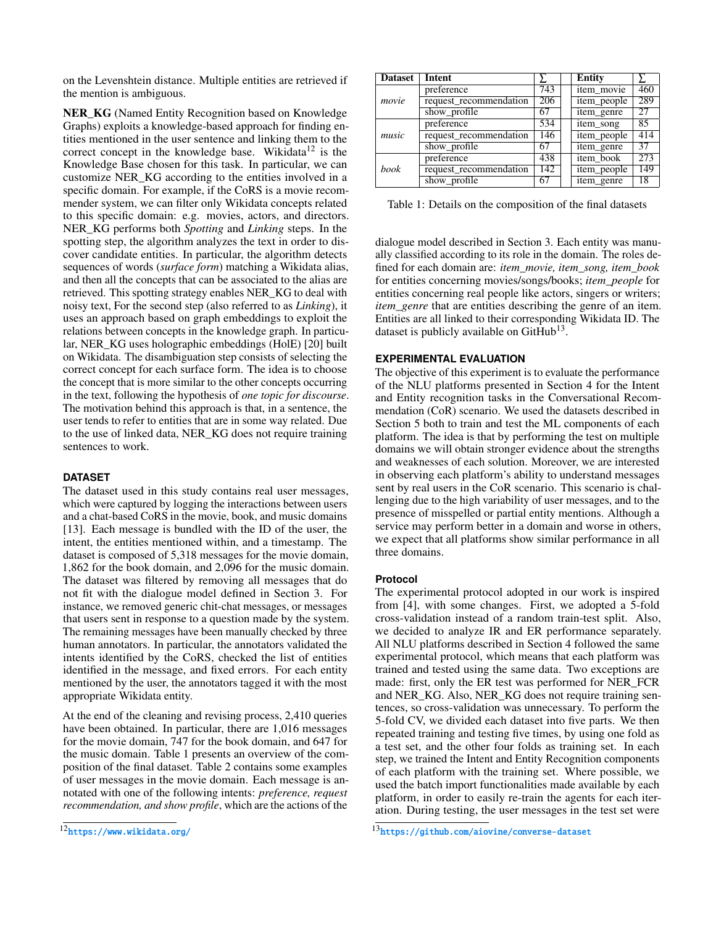on the Levenshtein distance. Multiple entities are retrieved if the mention is ambiguous.

NER\_KG (Named Entity Recognition based on Knowledge Graphs) exploits a knowledge-based approach for finding entities mentioned in the user sentence and linking them to the correct concept in the knowledge base. Wikidata<sup>[12](#page-4-0)</sup> is the Knowledge Base chosen for this task. In particular, we can customize NER\_KG according to the entities involved in a specific domain. For example, if the CoRS is a movie recommender system, we can filter only Wikidata concepts related to this specific domain: e.g. movies, actors, and directors. NER\_KG performs both *Spotting* and *Linking* steps. In the spotting step, the algorithm analyzes the text in order to discover candidate entities. In particular, the algorithm detects sequences of words (*surface form*) matching a Wikidata alias, and then all the concepts that can be associated to the alias are retrieved. This spotting strategy enables NER\_KG to deal with noisy text, For the second step (also referred to as *Linking*), it uses an approach based on graph embeddings to exploit the relations between concepts in the knowledge graph. In particular, NER\_KG uses holographic embeddings (HolE) [\[20\]](#page-10-16) built on Wikidata. The disambiguation step consists of selecting the correct concept for each surface form. The idea is to choose the concept that is more similar to the other concepts occurring in the text, following the hypothesis of *one topic for discourse*. The motivation behind this approach is that, in a sentence, the user tends to refer to entities that are in some way related. Due to the use of linked data, NER\_KG does not require training sentences to work.

## <span id="page-4-3"></span>**DATASET**

The dataset used in this study contains real user messages, which were captured by logging the interactions between users and a chat-based CoRS in the movie, book, and music domains [\[13\]](#page-10-17). Each message is bundled with the ID of the user, the intent, the entities mentioned within, and a timestamp. The dataset is composed of 5,318 messages for the movie domain, 1,862 for the book domain, and 2,096 for the music domain. The dataset was filtered by removing all messages that do not fit with the dialogue model defined in Section [3.](#page-2-0) For instance, we removed generic chit-chat messages, or messages that users sent in response to a question made by the system. The remaining messages have been manually checked by three human annotators. In particular, the annotators validated the intents identified by the CoRS, checked the list of entities identified in the message, and fixed errors. For each entity mentioned by the user, the annotators tagged it with the most appropriate Wikidata entity.

At the end of the cleaning and revising process, 2,410 queries have been obtained. In particular, there are 1,016 messages for the movie domain, 747 for the book domain, and 647 for the music domain. Table [1](#page-4-1) presents an overview of the composition of the final dataset. Table [2](#page-5-0) contains some examples of user messages in the movie domain. Each message is annotated with one of the following intents: *preference, request recommendation, and show profile*, which are the actions of the

<span id="page-4-1"></span>

| <b>Dataset</b> | Intent                 |                  | <b>Entity</b> |     |
|----------------|------------------------|------------------|---------------|-----|
|                | preference             | 743              | item movie    | 460 |
| movie          | request_recommendation | 206              | item_people   | 289 |
|                | show_profile           | 67               | item genre    | 27  |
|                | preference             | 534              | item song     | 85  |
| music          | request_recommendation | 146              | item_people   | 414 |
|                | show_profile           | 67               | item_genre    | 37  |
|                | preference             | 438              | item book     | 273 |
| book           | request_recommendation | $\overline{142}$ | item people   | 149 |
|                | show profile           | 67               | item genre    | 18  |

Table 1: Details on the composition of the final datasets

dialogue model described in Section [3.](#page-2-0) Each entity was manually classified according to its role in the domain. The roles defined for each domain are: *item\_movie, item\_song, item\_book* for entities concerning movies/songs/books; *item\_people* for entities concerning real people like actors, singers or writers; *item genre* that are entities describing the genre of an item. Entities are all linked to their corresponding Wikidata ID. The dataset is publicly available on Git $\tilde{H}$ ub<sup>[13](#page-4-2)</sup>.

# **EXPERIMENTAL EVALUATION**

The objective of this experiment is to evaluate the performance of the NLU platforms presented in Section [4](#page-2-1) for the Intent and Entity recognition tasks in the Conversational Recommendation (CoR) scenario. We used the datasets described in Section [5](#page-4-3) both to train and test the ML components of each platform. The idea is that by performing the test on multiple domains we will obtain stronger evidence about the strengths and weaknesses of each solution. Moreover, we are interested in observing each platform's ability to understand messages sent by real users in the CoR scenario. This scenario is challenging due to the high variability of user messages, and to the presence of misspelled or partial entity mentions. Although a service may perform better in a domain and worse in others, we expect that all platforms show similar performance in all three domains.

## **Protocol**

The experimental protocol adopted in our work is inspired from [\[4\]](#page-9-0), with some changes. First, we adopted a 5-fold cross-validation instead of a random train-test split. Also, we decided to analyze IR and ER performance separately. All NLU platforms described in Section [4](#page-2-1) followed the same experimental protocol, which means that each platform was trained and tested using the same data. Two exceptions are made: first, only the ER test was performed for NER\_FCR and NER\_KG. Also, NER\_KG does not require training sentences, so cross-validation was unnecessary. To perform the 5-fold CV, we divided each dataset into five parts. We then repeated training and testing five times, by using one fold as a test set, and the other four folds as training set. In each step, we trained the Intent and Entity Recognition components of each platform with the training set. Where possible, we used the batch import functionalities made available by each platform, in order to easily re-train the agents for each iteration. During testing, the user messages in the test set were

<span id="page-4-0"></span><sup>12</sup><https://www.wikidata.org/>

<span id="page-4-2"></span><sup>13</sup><https://github.com/aiovine/converse-dataset>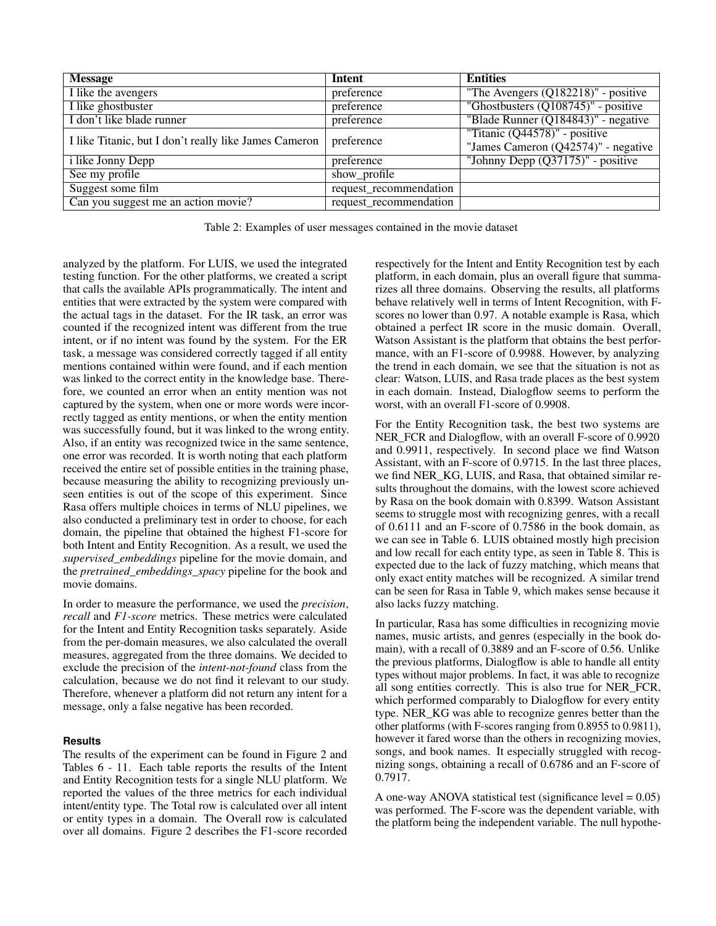<span id="page-5-0"></span>

| <b>Message</b>                                        | Intent                 | <b>Entities</b>                        |
|-------------------------------------------------------|------------------------|----------------------------------------|
| I like the avengers                                   | preference             | "The Avengers $(Q182218)$ " - positive |
| I like ghostbuster                                    | preference             | "Ghostbusters $(Q108745)$ " - positive |
| I don't like blade runner                             | preference             | "Blade Runner (Q184843)" - negative    |
| I like Titanic, but I don't really like James Cameron | preference             | "Titanic (Q44578)" - positive          |
|                                                       |                        | "James Cameron (Q42574)" - negative    |
| <i>i</i> like Jonny Depp                              | preference             | "Johnny Depp $(Q37175)$ " - positive   |
| See my profile                                        | show_profile           |                                        |
| Suggest some film                                     | request_recommendation |                                        |
| Can you suggest me an action movie?                   | request_recommendation |                                        |

Table 2: Examples of user messages contained in the movie dataset

analyzed by the platform. For LUIS, we used the integrated testing function. For the other platforms, we created a script that calls the available APIs programmatically. The intent and entities that were extracted by the system were compared with the actual tags in the dataset. For the IR task, an error was counted if the recognized intent was different from the true intent, or if no intent was found by the system. For the ER task, a message was considered correctly tagged if all entity mentions contained within were found, and if each mention was linked to the correct entity in the knowledge base. Therefore, we counted an error when an entity mention was not captured by the system, when one or more words were incorrectly tagged as entity mentions, or when the entity mention was successfully found, but it was linked to the wrong entity. Also, if an entity was recognized twice in the same sentence, one error was recorded. It is worth noting that each platform received the entire set of possible entities in the training phase, because measuring the ability to recognizing previously unseen entities is out of the scope of this experiment. Since Rasa offers multiple choices in terms of NLU pipelines, we also conducted a preliminary test in order to choose, for each domain, the pipeline that obtained the highest F1-score for both Intent and Entity Recognition. As a result, we used the *supervised\_embeddings* pipeline for the movie domain, and the *pretrained\_embeddings\_spacy* pipeline for the book and movie domains.

In order to measure the performance, we used the *precision*, *recall* and *F1-score* metrics. These metrics were calculated for the Intent and Entity Recognition tasks separately. Aside from the per-domain measures, we also calculated the overall measures, aggregated from the three domains. We decided to exclude the precision of the *intent-not-found* class from the calculation, because we do not find it relevant to our study. Therefore, whenever a platform did not return any intent for a message, only a false negative has been recorded.

#### <span id="page-5-1"></span>**Results**

The results of the experiment can be found in Figure [2](#page-6-0) and Tables [6](#page-8-0) - [11.](#page-9-9) Each table reports the results of the Intent and Entity Recognition tests for a single NLU platform. We reported the values of the three metrics for each individual intent/entity type. The Total row is calculated over all intent or entity types in a domain. The Overall row is calculated over all domains. Figure [2](#page-6-0) describes the F1-score recorded respectively for the Intent and Entity Recognition test by each platform, in each domain, plus an overall figure that summarizes all three domains. Observing the results, all platforms behave relatively well in terms of Intent Recognition, with Fscores no lower than 0.97. A notable example is Rasa, which obtained a perfect IR score in the music domain. Overall, Watson Assistant is the platform that obtains the best performance, with an F1-score of 0.9988. However, by analyzing the trend in each domain, we see that the situation is not as clear: Watson, LUIS, and Rasa trade places as the best system in each domain. Instead, Dialogflow seems to perform the worst, with an overall F1-score of 0.9908.

For the Entity Recognition task, the best two systems are NER FCR and Dialogflow, with an overall F-score of 0.9920 and 0.9911, respectively. In second place we find Watson Assistant, with an F-score of 0.9715. In the last three places, we find NER\_KG, LUIS, and Rasa, that obtained similar results throughout the domains, with the lowest score achieved by Rasa on the book domain with 0.8399. Watson Assistant seems to struggle most with recognizing genres, with a recall of 0.6111 and an F-score of 0.7586 in the book domain, as we can see in Table [6.](#page-8-0) LUIS obtained mostly high precision and low recall for each entity type, as seen in Table [8.](#page-8-0) This is expected due to the lack of fuzzy matching, which means that only exact entity matches will be recognized. A similar trend can be seen for Rasa in Table [9,](#page-9-9) which makes sense because it also lacks fuzzy matching.

In particular, Rasa has some difficulties in recognizing movie names, music artists, and genres (especially in the book domain), with a recall of 0.3889 and an F-score of 0.56. Unlike the previous platforms, Dialogflow is able to handle all entity types without major problems. In fact, it was able to recognize all song entities correctly. This is also true for NER\_FCR, which performed comparably to Dialogflow for every entity type. NER\_KG was able to recognize genres better than the other platforms (with F-scores ranging from 0.8955 to 0.9811), however it fared worse than the others in recognizing movies, songs, and book names. It especially struggled with recognizing songs, obtaining a recall of 0.6786 and an F-score of 0.7917.

A one-way ANOVA statistical test (significance level  $= 0.05$ ) was performed. The F-score was the dependent variable, with the platform being the independent variable. The null hypothe-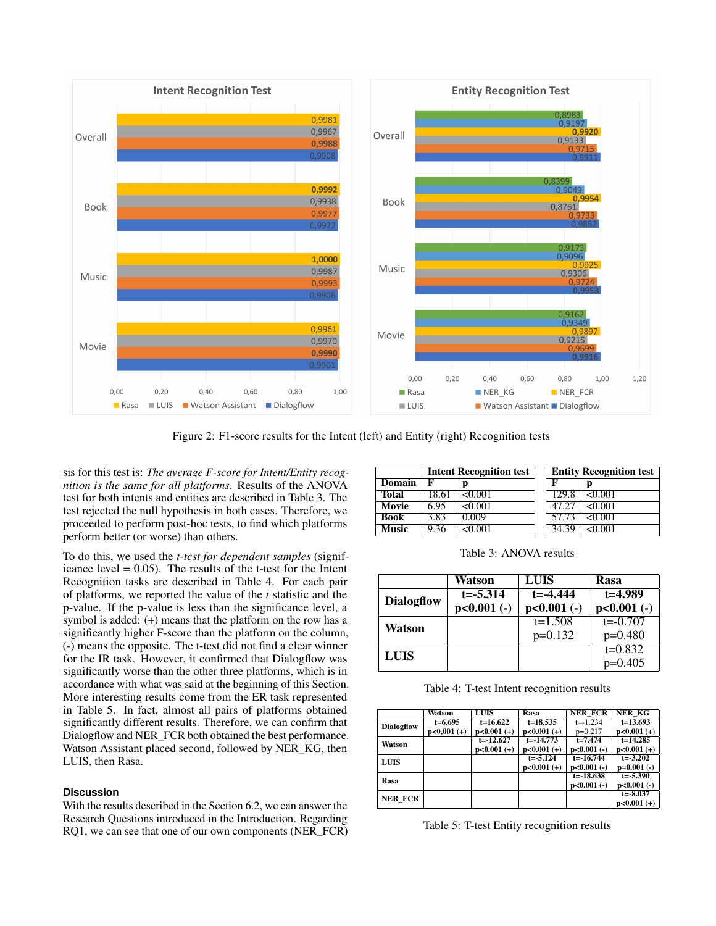<span id="page-6-0"></span>

Figure 2: F1-score results for the Intent (left) and Entity (right) Recognition tests

sis for this test is: *The average F-score for Intent/Entity recognition is the same for all platforms*. Results of the ANOVA test for both intents and entities are described in Table [3.](#page-6-1) The test rejected the null hypothesis in both cases. Therefore, we proceeded to perform post-hoc tests, to find which platforms perform better (or worse) than others.

To do this, we used the *t-test for dependent samples* (significance level  $= 0.05$ ). The results of the t-test for the Intent Recognition tasks are described in Table [4.](#page-6-2) For each pair of platforms, we reported the value of the *t* statistic and the p-value. If the p-value is less than the significance level, a symbol is added: (+) means that the platform on the row has a significantly higher F-score than the platform on the column, (-) means the opposite. The t-test did not find a clear winner for the IR task. However, it confirmed that Dialogflow was significantly worse than the other three platforms, which is in accordance with what was said at the beginning of this Section. More interesting results come from the ER task represented in Table [5.](#page-6-3) In fact, almost all pairs of platforms obtained significantly different results. Therefore, we can confirm that Dialogflow and NER\_FCR both obtained the best performance. Watson Assistant placed second, followed by NER\_KG, then LUIS, then Rasa.

## **Discussion**

With the results described in the Section [6.2,](#page-5-1) we can answer the Research Questions introduced in the Introduction. Regarding RQ1, we can see that one of our own components (NER\_FCR)

<span id="page-6-1"></span>

|              |       | <b>Intent Recognition test</b> | <b>Entity Recognition test</b> |                |  |  |  |
|--------------|-------|--------------------------------|--------------------------------|----------------|--|--|--|
| Domain       | F     |                                | F                              |                |  |  |  |
| <b>Total</b> | 18.61 | < 0.001                        | 129.8                          | <0.001         |  |  |  |
| <b>Movie</b> | 6.95  | < 0.001                        | 47.27                          | < 0.001        |  |  |  |
| <b>Book</b>  | 3.83  | 0.009                          | 57.73                          | $\sqrt{6.001}$ |  |  |  |
| <b>Music</b> | 9.36  | <0.001                         | 34.39                          | <0.001         |  |  |  |

Table 3: ANOVA results

<span id="page-6-2"></span>

|                   | Watson        | LUIS          | Rasa          |
|-------------------|---------------|---------------|---------------|
| <b>Dialogflow</b> | $t = -5.314$  | $t = -4.444$  | $t = 4.989$   |
|                   | $p<0.001$ (-) | $p<0.001$ (-) | $p<0.001$ (-) |
| Watson            |               | $t=1.508$     | $t = -0.707$  |
|                   |               | $p=0.132$     | $p=0.480$     |
| <b>LUIS</b>       |               |               | $t=0.832$     |
|                   |               |               | $p=0.405$     |

Table 4: T-test Intent recognition results

<span id="page-6-3"></span>

|                   | Watson        | <b>LUIS</b>   | Rasa          | <b>NER FCR</b> | <b>NER KG</b> |
|-------------------|---------------|---------------|---------------|----------------|---------------|
| <b>Dialogflow</b> | $t=6.695$     | $t=16.622$    | $t=18.535$    | $t = -1.234$   | $t=13.693$    |
|                   | $p<0,001 (+)$ | $p<0.001 (+)$ | $p<0.001 (+)$ | $p=0.217$      | $p<0.001 (+)$ |
| Watson            |               | $t = -12.627$ | $t = -14.773$ | $t = 7.474$    | $t = 14.285$  |
|                   |               | $p<0.001 (+)$ | $p<0.001 (+)$ | $p<0.001$ (-)  | $p<0.001 (+)$ |
| <b>LUIS</b>       |               |               | $t = -5.124$  | $t = -16.744$  | $t = -3.202$  |
|                   |               |               | $p<0.001 (+)$ | $p<0.001$ (-)  | $p=0.001$ (-) |
| Rasa              |               |               |               | $t = -18.638$  | $t = -5.390$  |
|                   |               |               |               | $p<0.001$ (-)  | $p<0.001$ (-) |
| <b>NER FCR</b>    |               |               |               |                | $t = -8.037$  |
|                   |               |               |               |                | $p<0.001 (+)$ |

Table 5: T-test Entity recognition results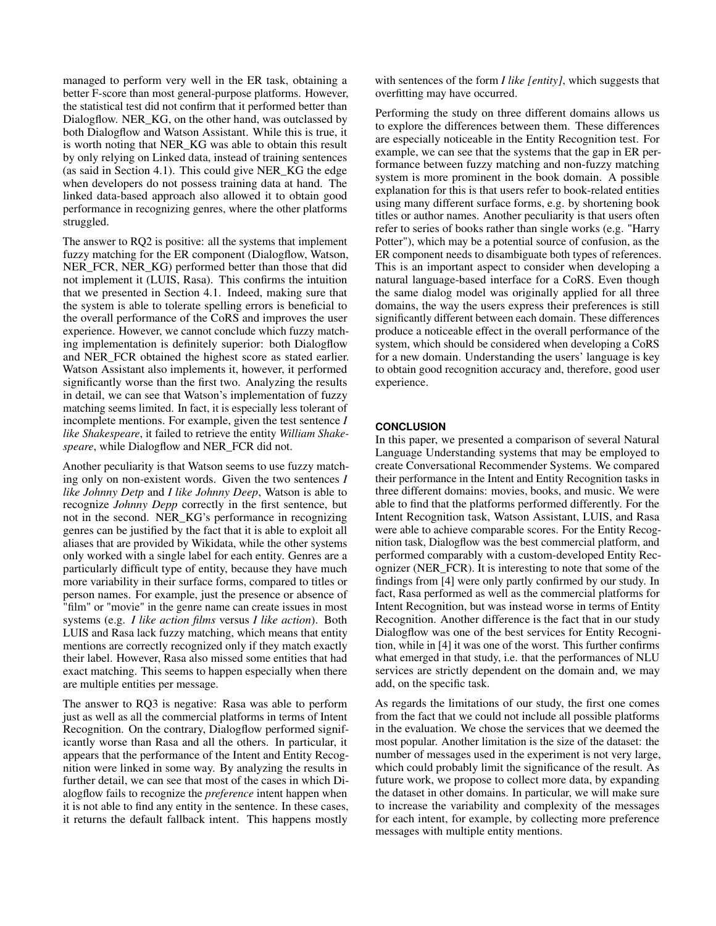managed to perform very well in the ER task, obtaining a better F-score than most general-purpose platforms. However, the statistical test did not confirm that it performed better than Dialogflow. NER\_KG, on the other hand, was outclassed by both Dialogflow and Watson Assistant. While this is true, it is worth noting that NER\_KG was able to obtain this result by only relying on Linked data, instead of training sentences (as said in Section [4.1\)](#page-3-3). This could give NER\_KG the edge when developers do not possess training data at hand. The linked data-based approach also allowed it to obtain good performance in recognizing genres, where the other platforms struggled.

The answer to RQ2 is positive: all the systems that implement fuzzy matching for the ER component (Dialogflow, Watson, NER FCR, NER KG) performed better than those that did not implement it (LUIS, Rasa). This confirms the intuition that we presented in Section [4.1.](#page-3-3) Indeed, making sure that the system is able to tolerate spelling errors is beneficial to the overall performance of the CoRS and improves the user experience. However, we cannot conclude which fuzzy matching implementation is definitely superior: both Dialogflow and NER\_FCR obtained the highest score as stated earlier. Watson Assistant also implements it, however, it performed significantly worse than the first two. Analyzing the results in detail, we can see that Watson's implementation of fuzzy matching seems limited. In fact, it is especially less tolerant of incomplete mentions. For example, given the test sentence *I like Shakespeare*, it failed to retrieve the entity *William Shakespeare*, while Dialogflow and NER\_FCR did not.

Another peculiarity is that Watson seems to use fuzzy matching only on non-existent words. Given the two sentences *I like Johnny Detp* and *I like Johnny Deep*, Watson is able to recognize *Johnny Depp* correctly in the first sentence, but not in the second. NER\_KG's performance in recognizing genres can be justified by the fact that it is able to exploit all aliases that are provided by Wikidata, while the other systems only worked with a single label for each entity. Genres are a particularly difficult type of entity, because they have much more variability in their surface forms, compared to titles or person names. For example, just the presence or absence of "film" or "movie" in the genre name can create issues in most systems (e.g. *I like action films* versus *I like action*). Both LUIS and Rasa lack fuzzy matching, which means that entity mentions are correctly recognized only if they match exactly their label. However, Rasa also missed some entities that had exact matching. This seems to happen especially when there are multiple entities per message.

The answer to RQ3 is negative: Rasa was able to perform just as well as all the commercial platforms in terms of Intent Recognition. On the contrary, Dialogflow performed significantly worse than Rasa and all the others. In particular, it appears that the performance of the Intent and Entity Recognition were linked in some way. By analyzing the results in further detail, we can see that most of the cases in which Dialogflow fails to recognize the *preference* intent happen when it is not able to find any entity in the sentence. In these cases, it returns the default fallback intent. This happens mostly

with sentences of the form *I like [entity]*, which suggests that overfitting may have occurred.

Performing the study on three different domains allows us to explore the differences between them. These differences are especially noticeable in the Entity Recognition test. For example, we can see that the systems that the gap in ER performance between fuzzy matching and non-fuzzy matching system is more prominent in the book domain. A possible explanation for this is that users refer to book-related entities using many different surface forms, e.g. by shortening book titles or author names. Another peculiarity is that users often refer to series of books rather than single works (e.g. "Harry Potter"), which may be a potential source of confusion, as the ER component needs to disambiguate both types of references. This is an important aspect to consider when developing a natural language-based interface for a CoRS. Even though the same dialog model was originally applied for all three domains, the way the users express their preferences is still significantly different between each domain. These differences produce a noticeable effect in the overall performance of the system, which should be considered when developing a CoRS for a new domain. Understanding the users' language is key to obtain good recognition accuracy and, therefore, good user experience.

## **CONCLUSION**

In this paper, we presented a comparison of several Natural Language Understanding systems that may be employed to create Conversational Recommender Systems. We compared their performance in the Intent and Entity Recognition tasks in three different domains: movies, books, and music. We were able to find that the platforms performed differently. For the Intent Recognition task, Watson Assistant, LUIS, and Rasa were able to achieve comparable scores. For the Entity Recognition task, Dialogflow was the best commercial platform, and performed comparably with a custom-developed Entity Recognizer (NER\_FCR). It is interesting to note that some of the findings from [\[4\]](#page-9-0) were only partly confirmed by our study. In fact, Rasa performed as well as the commercial platforms for Intent Recognition, but was instead worse in terms of Entity Recognition. Another difference is the fact that in our study Dialogflow was one of the best services for Entity Recognition, while in [\[4\]](#page-9-0) it was one of the worst. This further confirms what emerged in that study, i.e. that the performances of NLU services are strictly dependent on the domain and, we may add, on the specific task.

As regards the limitations of our study, the first one comes from the fact that we could not include all possible platforms in the evaluation. We chose the services that we deemed the most popular. Another limitation is the size of the dataset: the number of messages used in the experiment is not very large, which could probably limit the significance of the result. As future work, we propose to collect more data, by expanding the dataset in other domains. In particular, we will make sure to increase the variability and complexity of the messages for each intent, for example, by collecting more preference messages with multiple entity mentions.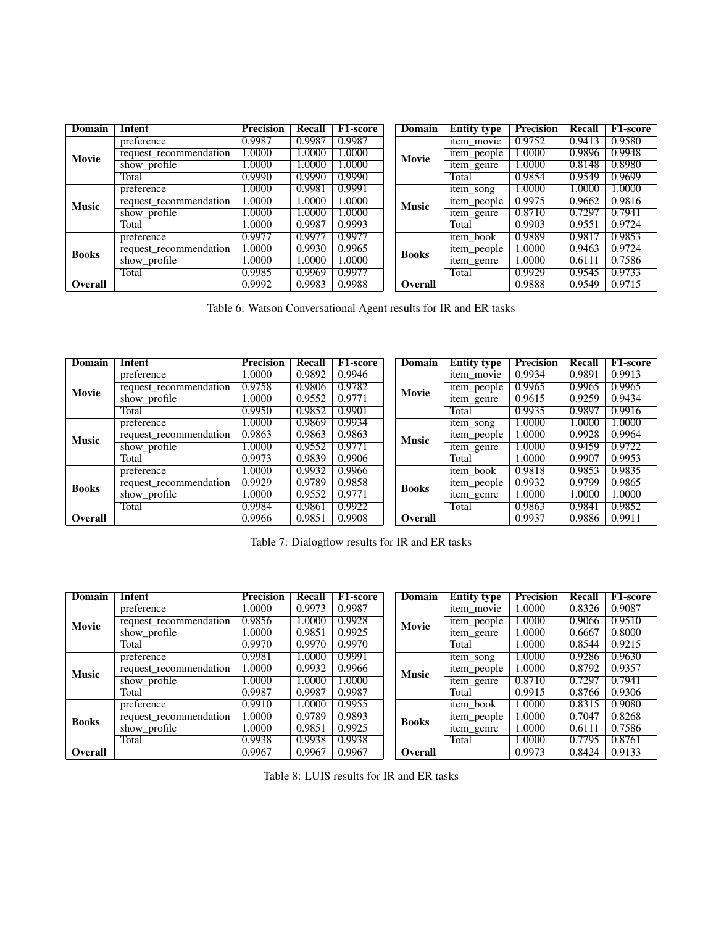<span id="page-8-0"></span>

| <b>Domain</b>  | Intent                 | <b>Precision</b> | <b>Recall</b> | <b>F1-score</b> | Domain         | <b>Entity type</b> | <b>Precision</b> | Recall | <b>F1-score</b> |
|----------------|------------------------|------------------|---------------|-----------------|----------------|--------------------|------------------|--------|-----------------|
|                | preference             | 0.9987           | 0.9987        | 0.9987          |                | item movie         | 0.9752           | 0.9413 | 0.9580          |
| Movie          | request recommendation | 1.0000           | 1.0000        | 1.0000          | Movie          | item_people        | 1.0000           | 0.9896 | 0.9948          |
|                | show_profile           | 1.0000           | 1.0000        | 1.0000          |                | item_genre         | 1.0000           | 0.8148 | 0.8980          |
|                | Total                  | 0.9990           | 0.9990        | 0.9990          |                | Total              | 0.9854           | 0.9549 | 0.9699          |
|                | preference             | 1.0000           | 0.9981        | 0.9991          |                | item_song          | 1.0000           | 1.0000 | 1.0000          |
| <b>Music</b>   | request recommendation | 1.0000           | 1.0000        | 1.0000          | <b>Music</b>   | item_people        | 0.9975           | 0.9662 | 0.9816          |
|                | show_profile           | 1.0000           | 0000.         | 1.0000          |                | item_genre         | 0.8710           | 0.7297 | 0.7941          |
|                | Total                  | 1.0000           | 0.9987        | 0.9993          |                | Total              | 0.9903           | 0.9551 | 0.9724          |
|                | preference             | 0.9977           | 0.9977        | 0.9977          |                | item book          | 0.9889           | 0.9817 | 0.9853          |
| <b>Books</b>   | request recommendation | 1.0000           | 0.9930        | 0.9965          | <b>Books</b>   | item_people        | 1.0000           | 0.9463 | 0.9724          |
|                | show_profile           | 1.0000           | 1.0000        | 1.0000          |                | item_genre         | 1.0000           | 0.6111 | 0.7586          |
|                | Total                  | 0.9985           | 0.9969        | 0.9977          |                | Total              | 0.9929           | 0.9545 | 0.9733          |
| <b>Overall</b> |                        | 0.9992           | 0.9983        | 0.9988          | <b>Overall</b> |                    | 0.9888           | 0.9549 | 0.9715          |

Table 6: Watson Conversational Agent results for IR and ER tasks

| Domain         | Intent                 | <b>Precision</b> | <b>Recall</b> | <b>F1-score</b> | Domain         | <b>Entity type</b> | <b>Precision</b> | Recall | F1-score |
|----------------|------------------------|------------------|---------------|-----------------|----------------|--------------------|------------------|--------|----------|
|                | preference             | .0000            | 0.9892        | 0.9946          |                | item movie         | 0.9934           | 0.9891 | 0.9913   |
| Movie          | request recommendation | 0.9758           | 0.9806        | 0.9782          | Movie          | item_people        | 0.9965           | 0.9965 | 0.9965   |
|                | show_profile           | 0000.1           | 0.9552        | 0.9771          |                | item_genre         | 0.9615           | 0.9259 | 0.9434   |
|                | Total                  | 0.9950           | 0.9852        | 0.9901          |                | Total              | 0.9935           | 0.9897 | 0.9916   |
|                | preference             | 0000.            | 0.9869        | 0.9934          |                | item song          | 1.0000           | 1.0000 | 1.0000   |
| <b>Music</b>   | request_recommendation | 0.9863           | 0.9863        | 0.9863          | <b>Music</b>   | item_people        | 1.0000           | 0.9928 | 0.9964   |
|                | show_profile           | 0000.            | 0.9552        | 0.9771          |                | item_genre         | 1.0000           | 0.9459 | 0.9722   |
|                | Total                  | 0.9973           | 0.9839        | 0.9906          |                | Total              | 1.0000           | 0.9907 | 0.9953   |
|                | preference             | 0000.            | 0.9932        | 0.9966          |                | item book          | 0.9818           | 0.9853 | 0.9835   |
| <b>Books</b>   | request_recommendation | 0.9929           | 0.9789        | 0.9858          | <b>Books</b>   | item_people        | 0.9932           | 0.9799 | 0.9865   |
|                | show_profile           | 0000.            | 0.9552        | 0.9771          |                | item_genre         | 1.0000           | 1.0000 | 1.0000   |
|                | Total                  | 0.9984           | 0.9861        | 0.9922          |                | Total              | 0.9863           | 0.9841 | 0.9852   |
| <b>Overall</b> |                        | 0.9966           | 0.9851        | 0.9908          | <b>Overall</b> |                    | 0.9937           | 0.9886 | 0.9911   |

Table 7: Dialogflow results for IR and ER tasks

| Domain       | Intent                                                        | <b>Precision</b> | Recall | <b>F1-score</b> | Domain         | <b>Entity type</b> | <b>Precision</b> | Recall | F1-score |
|--------------|---------------------------------------------------------------|------------------|--------|-----------------|----------------|--------------------|------------------|--------|----------|
|              | preference                                                    | 1.0000           | 0.9973 | 0.9987          |                | item_movie         | 1.0000           | 0.8326 | 0.9087   |
| Movie        | 0.9928<br>0.9856<br>1.0000<br>request recommendation<br>Movie | item_people      | 1.0000 | 0.9066          | 0.9510         |                    |                  |        |          |
|              | show_profile                                                  | 1.0000           | 0.9851 | 0.9925          |                | item_genre         | 1.0000           | 0.6667 | 0.8000   |
|              | Total                                                         | 0.9970           | 0.9970 | 0.9970          |                | Total              | 1.0000           | 0.8544 | 0.9215   |
|              | preference                                                    | 0.9981           | 1.0000 | 0.9991          |                | item song          | 1.0000           | 0.9286 | 0.9630   |
| <b>Music</b> | request_recommendation                                        | 1.0000           | 0.9932 | 0.9966          | <b>Music</b>   | item_people        | 1.0000           | 0.8792 | 0.9357   |
|              | show_profile                                                  | 1.0000           | 1.0000 | 1.0000          |                | item_genre         | 0.8710           | 0.7297 | 0.7941   |
|              | Total                                                         | 0.9987           | 0.9987 | 0.9987          |                | Total              | 0.9915           | 0.8766 | 0.9306   |
|              | preference                                                    | 0.9910           | 1.0000 | 0.9955          |                | item book          | 1.0000           | 0.8315 | 0.9080   |
| <b>Books</b> | request_recommendation                                        | 1.0000           | 0.9789 | 0.9893          | <b>Books</b>   | item_people        | 1.0000           | 0.7047 | 0.8268   |
|              | show_profile                                                  | 1.0000           | 0.9851 | 0.9925          |                | item_genre         | 1.0000           | 0.6111 | 0.7586   |
|              | Total                                                         | 0.9938           | 0.9938 | 0.9938          |                | Total              | 1.0000           | 0.7795 | 0.8761   |
| Overall      |                                                               | 0.9967           | 0.9967 | 0.9967          | <b>Overall</b> |                    | 0.9973           | 0.8424 | 0.9133   |

| Domain         | <b>Entity type</b> | <b>Precision</b> | Recall | <b>F1-score</b> |
|----------------|--------------------|------------------|--------|-----------------|
|                | item movie         | 1.0000           | 0.8326 | 0.9087          |
| Movie          | item_people        | 1.0000           | 0.9066 | 0.9510          |
|                | item genre         | 1.0000           | 0.6667 | 0.8000          |
|                | Total              | 1.0000           | 0.8544 | 0.9215          |
|                | item song          | 1.0000           | 0.9286 | 0.9630          |
| <b>Music</b>   | item_people        | 1.0000           | 0.8792 | 0.9357          |
|                | item genre         | 0.8710           | 0.7297 | 0.7941          |
|                | Total              | 0.9915           | 0.8766 | 0.9306          |
|                | item book          | 1.0000           | 0.8315 | 0.9080          |
| <b>Books</b>   | item people        | 1.0000           | 0.7047 | 0.8268          |
|                | item genre         | 1.0000           | 0.6111 | 0.7586          |
|                | Total              | 1.0000           | 0.7795 | 0.8761          |
| <b>Overall</b> |                    | 0.9973           | 0.8424 | 0.9133          |

Table 8: LUIS results for IR and ER tasks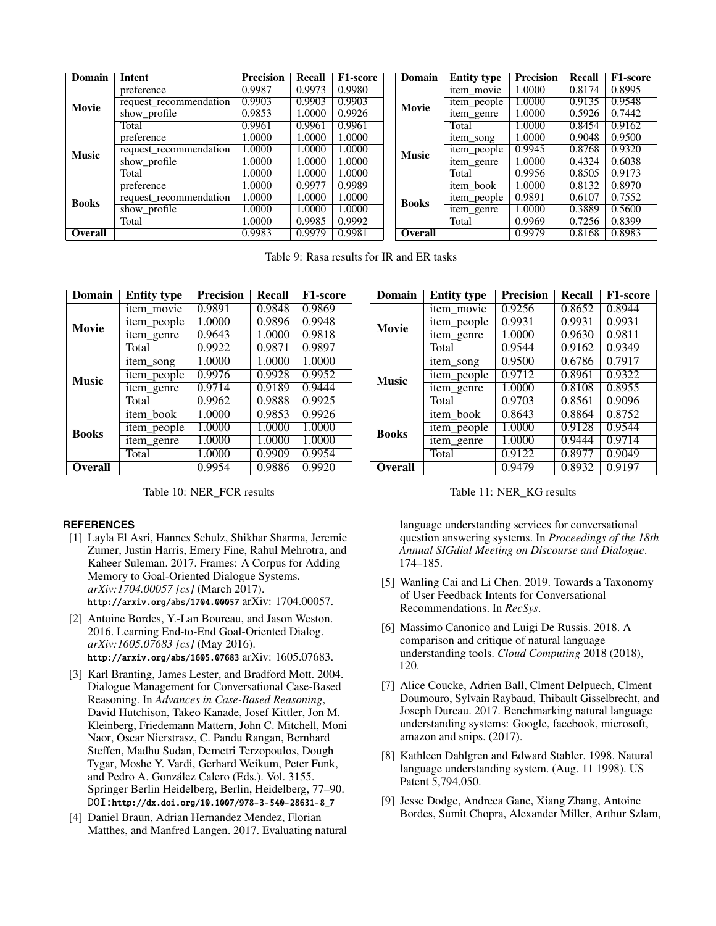<span id="page-9-9"></span>

| Domain       | Intent                 | <b>Precision</b> | Recall | <b>F1-score</b> | Domain       | <b>Entity type</b> | Precision | <b>Recall</b> | <b>F1-score</b> |
|--------------|------------------------|------------------|--------|-----------------|--------------|--------------------|-----------|---------------|-----------------|
|              | preference             | 0.9987           | 0.9973 | 0.9980          |              | item movie         | 1.0000    | 0.8174        | 0.8995          |
| Movie        | request_recommendation | 0.9903           | 0.9903 | 0.9903          | Movie        | item_people        | 1.0000    | 0.9135        | 0.9548          |
|              | show_profile           | 0.9853           | 1.0000 | 0.9926          |              | item_genre         | 1.0000    | 0.5926        | 0.7442          |
|              | Total                  | 0.9961           | 0.9961 | 0.9961          |              | Total              | 1.0000    | 0.8454        | 0.9162          |
|              | preference             | 0000.1           | 1.0000 | 1.0000          |              | item_song          | 1.0000    | 0.9048        | 0.9500          |
| <b>Music</b> | request recommendation | 1.0000           | 1.0000 | 1.0000          | <b>Music</b> | item_people        | 0.9945    | 0.8768        | 0.9320          |
|              | show_profile           | 0000.1           | 1.0000 | 1.0000          |              | item_genre         | 1.0000    | 0.4324        | 0.6038          |
|              | Total                  | 0000.1           | 1.0000 | 1.0000          |              | Total              | 0.9956    | 0.8505        | 0.9173          |
|              | preference             | .0000            | 0.9977 | 0.9989          |              | item book          | 1.0000    | 0.8132        | 0.8970          |
| <b>Books</b> | request_recommendation | 1.0000           | 1.0000 | 1.0000          | <b>Books</b> | item_people        | 0.9891    | 0.6107        | 0.7552          |
|              | show_profile           | 0000.            | 1.0000 | 1.0000          |              | item_genre         | 1.0000    | 0.3889        | 0.5600          |
|              | Total                  | 0000.1           | 0.9985 | 0.9992          |              | Total              | 0.9969    | 0.7256        | 0.8399          |
| Overall      |                        | 0.9983           | 0.9979 | 0.9981          | Overall      |                    | 0.9979    | 0.8168        | 0.8983          |

Table 9: Rasa results for IR and ER tasks

| Domain         | <b>Entity type</b> | <b>Precision</b> | Recall | F1-score |
|----------------|--------------------|------------------|--------|----------|
|                | item movie         | 0.9891           | 0.9848 | 0.9869   |
| <b>Movie</b>   | item_people        | 1.0000           | 0.9896 | 0.9948   |
|                | item_genre         | 0.9643           | 1.0000 | 0.9818   |
|                | Total              | 0.9922           | 0.9871 | 0.9897   |
|                | item song          | 1.0000           | 1.0000 | 1.0000   |
| <b>Music</b>   | item_people        | 0.9976           | 0.9928 | 0.9952   |
|                | item genre         | 0.9714           | 0.9189 | 0.9444   |
|                | Total              | 0.9962           | 0.9888 | 0.9925   |
|                | item book          | 1.0000           | 0.9853 | 0.9926   |
| <b>Books</b>   | item_people        | 1.0000           | 1.0000 | 1.0000   |
|                | item_genre         | 1.0000           | 1.0000 | 1.0000   |
|                | Total              | 1.0000           | 0.9909 | 0.9954   |
| <b>Overall</b> |                    | 0.9954           | 0.9886 | 0.9920   |

Table 10: NER\_FCR results

#### <span id="page-9-3"></span>**REFERENCES**

- [1] Layla El Asri, Hannes Schulz, Shikhar Sharma, Jeremie Zumer, Justin Harris, Emery Fine, Rahul Mehrotra, and Kaheer Suleman. 2017. Frames: A Corpus for Adding Memory to Goal-Oriented Dialogue Systems. *arXiv:1704.00057 [cs]* (March 2017). <http://arxiv.org/abs/1704.00057> arXiv: 1704.00057.
- <span id="page-9-5"></span>[2] Antoine Bordes, Y.-Lan Boureau, and Jason Weston. 2016. Learning End-to-End Goal-Oriented Dialog. *arXiv:1605.07683 [cs]* (May 2016). <http://arxiv.org/abs/1605.07683> arXiv: 1605.07683.
- <span id="page-9-8"></span>[3] Karl Branting, James Lester, and Bradford Mott. 2004. Dialogue Management for Conversational Case-Based Reasoning. In *Advances in Case-Based Reasoning*, David Hutchison, Takeo Kanade, Josef Kittler, Jon M. Kleinberg, Friedemann Mattern, John C. Mitchell, Moni Naor, Oscar Nierstrasz, C. Pandu Rangan, Bernhard Steffen, Madhu Sudan, Demetri Terzopoulos, Dough Tygar, Moshe Y. Vardi, Gerhard Weikum, Peter Funk, and Pedro A. González Calero (Eds.). Vol. 3155. Springer Berlin Heidelberg, Berlin, Heidelberg, 77–90. DOI:[http://dx.doi.org/10.1007/978-3-540-28631-8\\_7](http://dx.doi.org/10.1007/978-3-540-28631-8_7)
- <span id="page-9-0"></span>[4] Daniel Braun, Adrian Hernandez Mendez, Florian Matthes, and Manfred Langen. 2017. Evaluating natural

| Domain         | <b>Entity type</b> | <b>Precision</b> | <b>Recall</b> | <b>F1-score</b> |
|----------------|--------------------|------------------|---------------|-----------------|
|                | item movie         | 0.9256           | 0.8652        | 0.8944          |
| Movie          | item_people        | 0.9931           | 0.9931        | 0.9931          |
|                | item_genre         | 1.0000           | 0.9630        | 0.9811          |
|                | Total              | 0.9544           | 0.9162        | 0.9349          |
|                | item_song          | 0.9500           | 0.6786        | 0.7917          |
| <b>Music</b>   | item_people        | 0.9712           | 0.8961        | 0.9322          |
|                | item_genre         | 1.0000           | 0.8108        | 0.8955          |
|                | Total              | 0.9703           | 0.8561        | 0.9096          |
|                | item book          | 0.8643           | 0.8864        | 0.8752          |
| <b>Books</b>   | item_people        | 1.0000           | 0.9128        | 0.9544          |
|                | item_genre         | 1.0000           | 0.9444        | 0.9714          |
|                | Total              | 0.9122           | 0.8977        | 0.9049          |
| <b>Overall</b> |                    | 0.9479           | 0.8932        | 0.9197          |

Table 11: NER\_KG results

language understanding services for conversational question answering systems. In *Proceedings of the 18th Annual SIGdial Meeting on Discourse and Dialogue*. 174–185.

- <span id="page-9-1"></span>[5] Wanling Cai and Li Chen. 2019. Towards a Taxonomy of User Feedback Intents for Conversational Recommendations. In *RecSys*.
- <span id="page-9-7"></span>[6] Massimo Canonico and Luigi De Russis. 2018. A comparison and critique of natural language understanding tools. *Cloud Computing* 2018 (2018), 120.
- <span id="page-9-6"></span>[7] Alice Coucke, Adrien Ball, Clment Delpuech, Clment Doumouro, Sylvain Raybaud, Thibault Gisselbrecht, and Joseph Dureau. 2017. Benchmarking natural language understanding systems: Google, facebook, microsoft, amazon and snips. (2017).
- <span id="page-9-4"></span>[8] Kathleen Dahlgren and Edward Stabler. 1998. Natural language understanding system. (Aug. 11 1998). US Patent 5,794,050.
- <span id="page-9-2"></span>[9] Jesse Dodge, Andreea Gane, Xiang Zhang, Antoine Bordes, Sumit Chopra, Alexander Miller, Arthur Szlam,